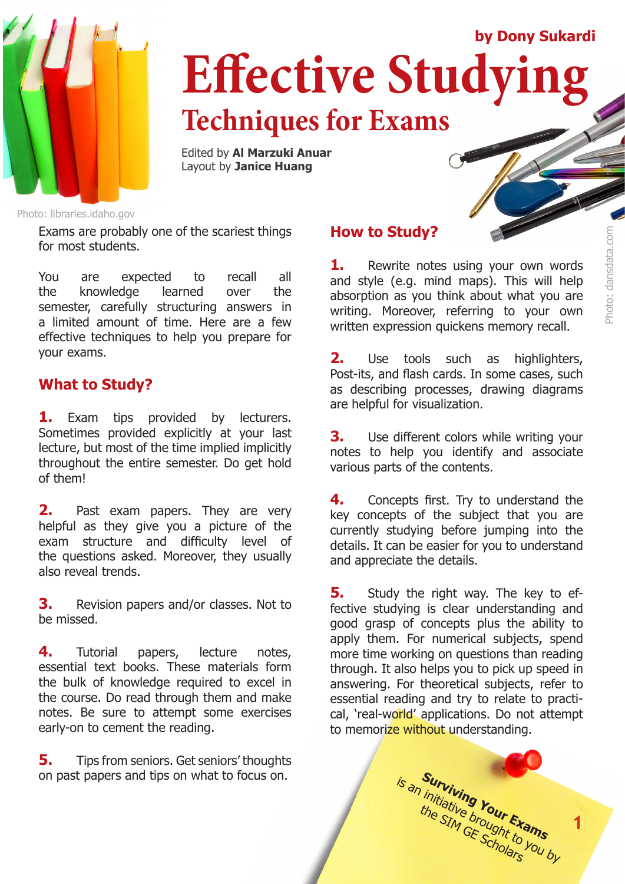

# **Effective Studying Techniques for Exams by Dony Sukardi**

Edited by **Al Marzuki Anuar** Layout by **Janice Huang**

Photo: libraries.idaho.gov

Exams are probably one of the scariest things for most students.

You are expected to recall all the knowledge learned over the semester, carefully structuring answers in a limited amount of time. Here are a few effective techniques to help you prepare for your exams.

### **What to Study?**

**1.** Exam tips provided by lecturers. Sometimes provided explicitly at your last lecture, but most of the time implied implicitly throughout the entire semester. Do get hold of them!

**2.** Past exam papers. They are very helpful as they give you a picture of the exam structure and difficulty level of the questions asked. Moreover, they usually also reveal trends.

**3.** Revision papers and/or classes. Not to be missed.

**4.** Tutorial papers, lecture notes, essential text books. These materials form the bulk of knowledge required to excel in the course. Do read through them and make notes. Be sure to attempt some exercises early-on to cement the reading.

**5.** Tips from seniors. Get seniors' thoughts on past papers and tips on what to focus on.

## **How to Study?**

**1.** Rewrite notes using your own words and style (e.g. mind maps). This will help absorption as you think about what you are writing. Moreover, referring to your own written expression quickens memory recall.

Photo: dansdata.com

Photo: dansdata.com

**2.** Use tools such as highlighters, Post-its, and flash cards. In some cases, such as describing processes, drawing diagrams are helpful for visualization.

**3.** Use different colors while writing your notes to help you identify and associate various parts of the contents.

**4.** Concepts first. Try to understand the key concepts of the subject that you are currently studying before jumping into the details. It can be easier for you to understand and appreciate the details.

**5.** Study the right way. The key to effective studying is clear understanding and good grasp of concepts plus the ability to apply them. For numerical subjects, spend more time working on questions than reading through. It also helps you to pick up speed in answering. For theoretical subjects, refer to essential reading and try to relate to practical, 'real-world' applications. Do not attempt to memorize without understanding.